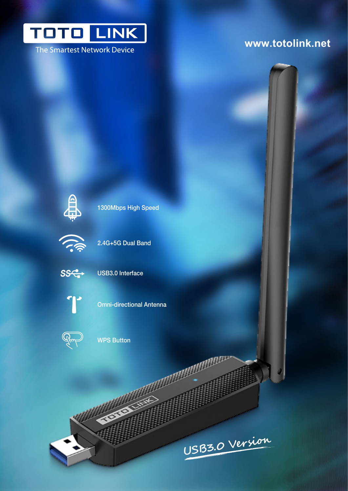

The Smartest Network Device

### **www.totolink.net**



1300Mbps High Speed



2.4G+5G Dual Band



USB3.0 Interface



Omni-directional Antenna



WPS Button

**��B3.0 V�r�i��**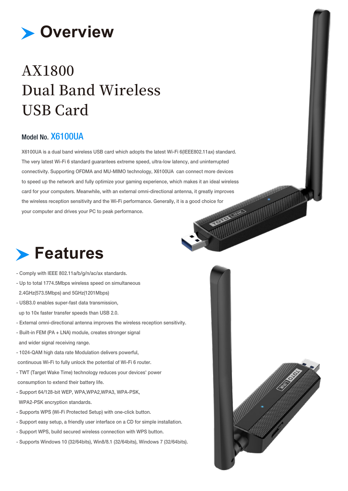

## AX1800 **Dual Band Wireless USB Card**

#### Model No. X6100UA

X6100UA is a dual band wireless USB card which adopts the latest Wi-Fi 6(IEEE802.11ax) standard. The very latest Wi-Fi 6 standard guarantees extreme speed, ultra-low latency, and uninterrupted connectivity. Supporting OFDMA and MU-MIMO technology, X6100UA can connect more devices to speed up the network and fully optimize your gaming experience, which makes it an ideal wireless card for your computers. Meanwhile, with an external omni-directional antenna, it greatly improves the wireless reception sensitivity and the Wi-Fi performance. Generally, it is a good choice for your computer and drives your PC to peak performance.

## **Features**

- Comply with IEEE 802.11a/b/g/n/ac/ax standards.
- Up to total 1774.5Mbps wireless speed on simultaneous 2.4GHz(573.5Mbps) and 5GHz(1201Mbps)
- USB3.0 enables super-fast data transmission, up to 10x faster transfer speeds than USB 2.0.
- External omni-directional antenna improves the wireless reception sensitivity.
- Built-in FEM (PA + LNA) module, creates stronger signal and wider signal receiving range.
- 1024-QAM high data rate Modulation delivers powerful,
- continuous Wi-Fi to fully unlock the potential of Wi-Fi 6 router.
- TWT (Target Wake Time) technology reduces your devices' power consumption to extend their battery life.
- Support 64/128-bit WEP, WPA,WPA2,WPA3, WPA-PSK, WPA2-PSK encryption standards.
- Supports WPS (Wi-Fi Protected Setup) with one-click button.
- Support easy setup, a friendly user interface on a CD for simple installation.
- Support WPS, build secured wireless connection with WPS button.
- Supports Windows 10 (32/64bits), Win8/8.1 (32/64bits), Windows 7 (32/64bits).

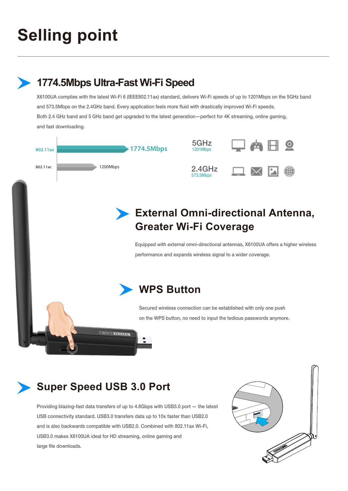# **Selling point**

**1774.5Mbps Ultra-Fast Wi-Fi Speed** 



X6100UA complies with the latest Wi-Fi 6 (IEEE802.11ax) standard, delivers Wi-Fi speeds of up to 1201Mbps on the 5GHz band

### **Super Speed USB 3.0 Port**

Providing blazing-fast data transfers of up to 4.8Gbps with USB3.0 port — the latest USB connectivity standard. USB3.0 transfers data up to 10x faster than USB2.0 and is also backwards compatible with USB2.0. Combined with 802.11ax Wi-Fi, USB3.0 makes X6100UA ideal for HD streaming, online gaming and large file downloads.